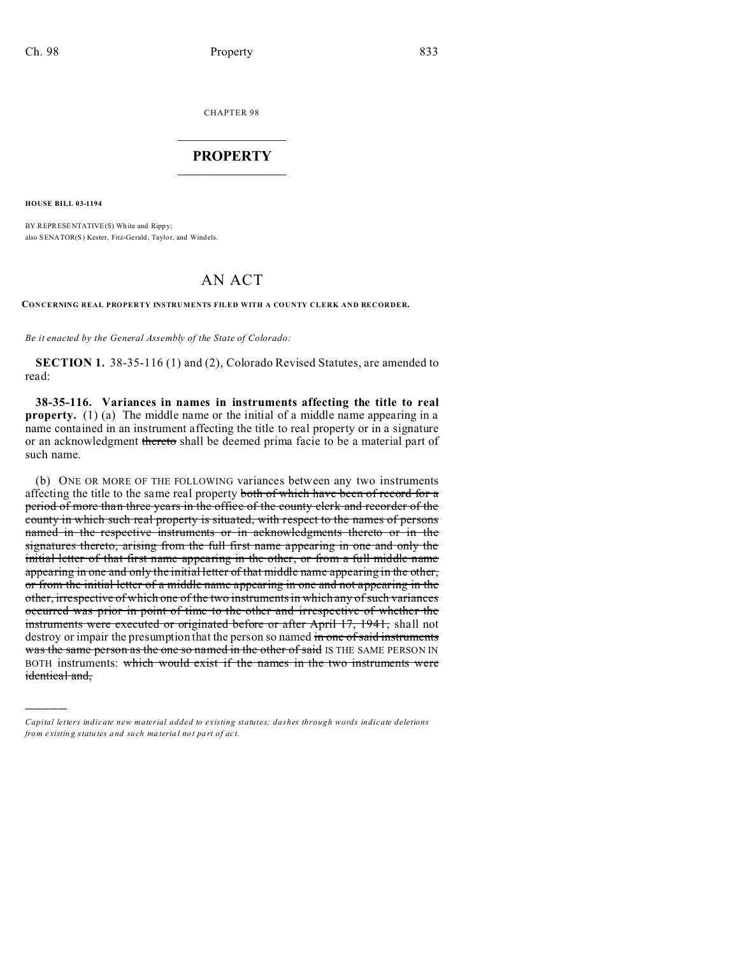CHAPTER 98  $\overline{\phantom{a}}$  , where  $\overline{\phantom{a}}$ 

## **PROPERTY**  $\_$   $\_$   $\_$   $\_$   $\_$   $\_$   $\_$   $\_$   $\_$   $\_$

**HOUSE BILL 03-1194**

)))))

BY REPRESENTATIVE(S) Wh ite and Rippy; also SENATOR(S) Kester, Fitz-Gerald, Taylor, and Windels.

## AN ACT

**CONCERNING REAL PROPERTY INSTRUMENTS FILED WITH A COUNTY CLERK AND RECORDER.**

*Be it enacted by the General Assembly of the State of Colorado:*

**SECTION 1.** 38-35-116 (1) and (2), Colorado Revised Statutes, are amended to read:

**38-35-116. Variances in names in instruments affecting the title to real property.** (1) (a) The middle name or the initial of a middle name appearing in a name contained in an instrument affecting the title to real property or in a signature or an acknowledgment thereto shall be deemed prima facie to be a material part of such name.

(b) ONE OR MORE OF THE FOLLOWING variances between any two instruments affecting the title to the same real property both of which have been of record for a period of more than three years in the office of the county clerk and recorder of the county in which such real property is situated, with respect to the names of persons named in the respective instruments or in acknowledgments thereto or in the signatures thereto, arising from the full first name appearing in one and only the initial letter of that first name appearing in the other, or from a full middle name appearing in one and only the initial letter of that middle name appearing in the other, or from the initial letter of a middle name appearing in one and not appearing in the other, irrespective of which one of the two instruments in which any of such variances occurred was prior in point of time to the other and irrespective of whether the instruments were executed or originated before or after April 17, 1941, shall not destroy or impair the presumption that the person so named in one of said instruments was the same person as the one so named in the other of said IS THE SAME PERSON IN BOTH instruments: which would exist if the names in the two instruments were identical and,

*Capital letters indicate new material added to existing statutes; dashes through words indicate deletions from e xistin g statu tes a nd such ma teria l no t pa rt of ac t.*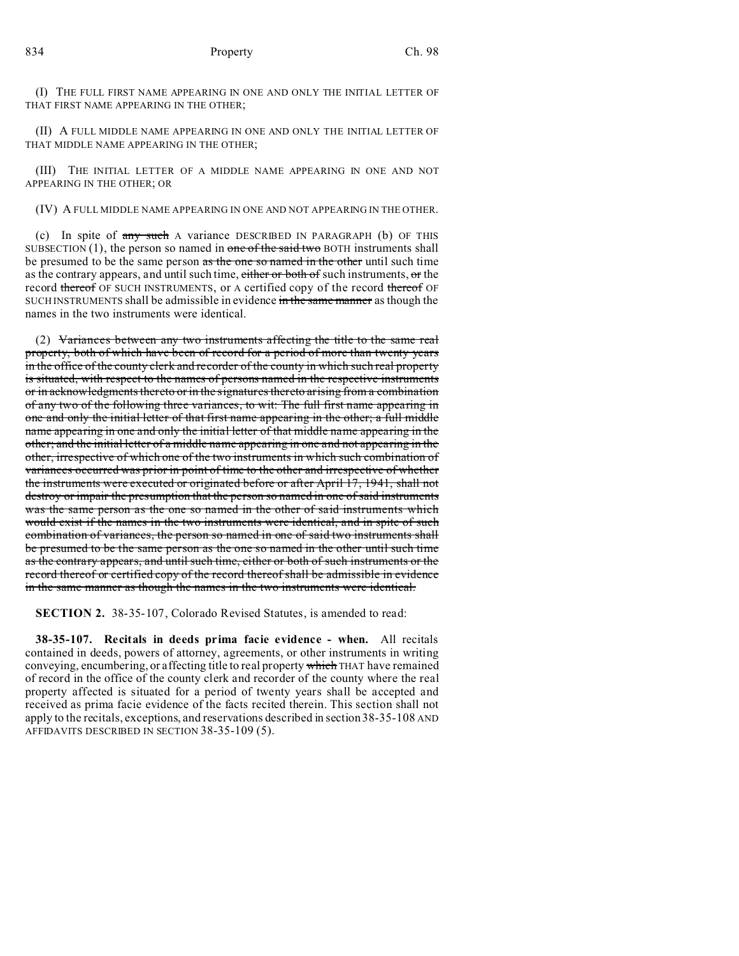(I) THE FULL FIRST NAME APPEARING IN ONE AND ONLY THE INITIAL LETTER OF THAT FIRST NAME APPEARING IN THE OTHER;

(II) A FULL MIDDLE NAME APPEARING IN ONE AND ONLY THE INITIAL LETTER OF THAT MIDDLE NAME APPEARING IN THE OTHER;

(III) THE INITIAL LETTER OF A MIDDLE NAME APPEARING IN ONE AND NOT APPEARING IN THE OTHER; OR

(IV) A FULL MIDDLE NAME APPEARING IN ONE AND NOT APPEARING IN THE OTHER.

(c) In spite of any such A variance DESCRIBED IN PARAGRAPH (b) OF THIS SUBSECTION  $(1)$ , the person so named in one of the said two BOTH instruments shall be presumed to be the same person as the one so named in the other until such time as the contrary appears, and until such time, either or both of such instruments, or the record thereof OF SUCH INSTRUMENTS, or A certified copy of the record thereof OF SUCH INSTRUMENTS shall be admissible in evidence in the same manner as though the names in the two instruments were identical.

(2) Variances between any two instruments affecting the title to the same real property, both of which have been of record for a period of more than twenty years in the office of the county clerk and recorder of the county in which such real property is situated, with respect to the names of persons named in the respective instruments or in acknowledgments thereto or in the signatures thereto arising from a combination of any two of the following three variances, to wit: The full first name appearing in one and only the initial letter of that first name appearing in the other; a full middle name appearing in one and only the initial letter of that middle name appearing in the other; and the initial letter of a middle name appearing in one and not appearing in the other, irrespective of which one of the two instruments in which such combination of variances occurred was prior in point of time to the other and irrespective of whether the instruments were executed or originated before or after April 17, 1941, shall not destroy or impair the presumption that the person so named in one of said instruments was the same person as the one so named in the other of said instruments which would exist if the names in the two instruments were identical, and in spite of such combination of variances, the person so named in one of said two instruments shall be presumed to be the same person as the one so named in the other until such time as the contrary appears, and until such time, either or both of such instruments or the record thereof or certified copy of the record thereof shall be admissible in evidence in the same manner as though the names in the two instruments were identical.

**SECTION 2.** 38-35-107, Colorado Revised Statutes, is amended to read:

**38-35-107. Recitals in deeds prima facie evidence - when.** All recitals contained in deeds, powers of attorney, agreements, or other instruments in writing conveying, encumbering, or affecting title to real property which THAT have remained of record in the office of the county clerk and recorder of the county where the real property affected is situated for a period of twenty years shall be accepted and received as prima facie evidence of the facts recited therein. This section shall not apply to the recitals, exceptions, and reservations described in section 38-35-108 AND AFFIDAVITS DESCRIBED IN SECTION 38-35-109 (5).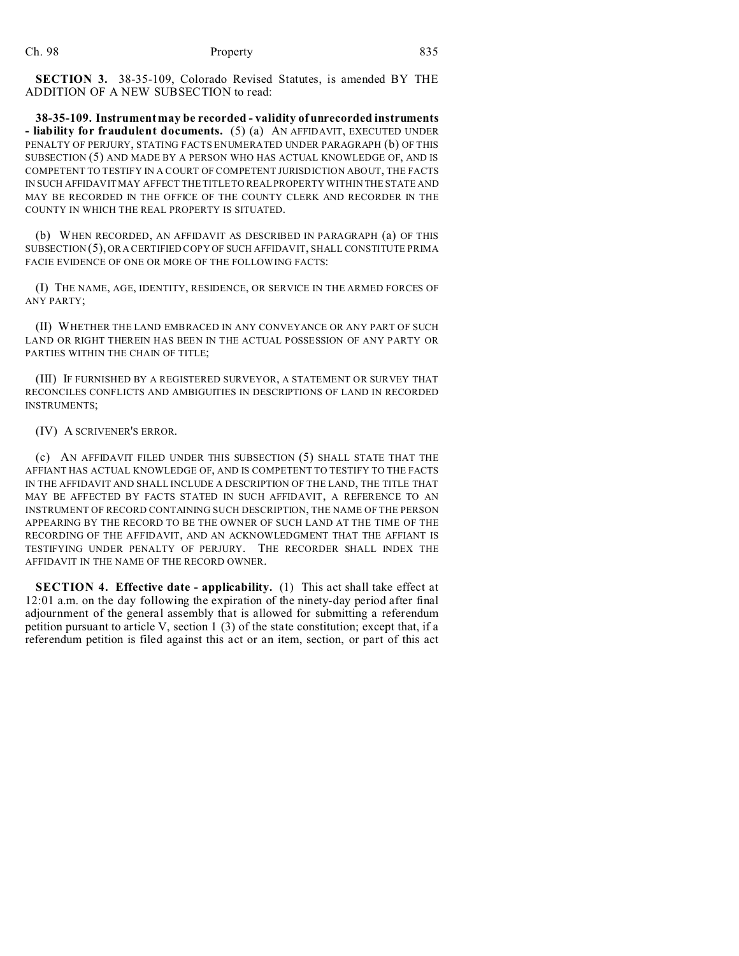**SECTION 3.** 38-35-109, Colorado Revised Statutes, is amended BY THE ADDITION OF A NEW SUBSECTION to read:

**38-35-109. Instrument may be recorded - validity of unrecorded instruments - liability for fraudulent documents.** (5) (a) AN AFFIDAVIT, EXECUTED UNDER PENALTY OF PERJURY, STATING FACTS ENUMERATED UNDER PARAGRAPH (b) OF THIS SUBSECTION (5) AND MADE BY A PERSON WHO HAS ACTUAL KNOWLEDGE OF, AND IS COMPETENT TO TESTIFY IN A COURT OF COMPETENT JURISDICTION ABOUT, THE FACTS IN SUCH AFFIDAVIT MAY AFFECT THE TITLE TO REAL PROPERTY WITHIN THE STATE AND MAY BE RECORDED IN THE OFFICE OF THE COUNTY CLERK AND RECORDER IN THE COUNTY IN WHICH THE REAL PROPERTY IS SITUATED.

(b) WHEN RECORDED, AN AFFIDAVIT AS DESCRIBED IN PARAGRAPH (a) OF THIS SUBSECTION (5), OR A CERTIFIED COPY OF SUCH AFFIDAVIT, SHALL CONSTITUTE PRIMA FACIE EVIDENCE OF ONE OR MORE OF THE FOLLOWING FACTS:

(I) THE NAME, AGE, IDENTITY, RESIDENCE, OR SERVICE IN THE ARMED FORCES OF ANY PARTY;

(II) WHETHER THE LAND EMBRACED IN ANY CONVEYANCE OR ANY PART OF SUCH LAND OR RIGHT THEREIN HAS BEEN IN THE ACTUAL POSSESSION OF ANY PARTY OR PARTIES WITHIN THE CHAIN OF TITLE;

(III) IF FURNISHED BY A REGISTERED SURVEYOR, A STATEMENT OR SURVEY THAT RECONCILES CONFLICTS AND AMBIGUITIES IN DESCRIPTIONS OF LAND IN RECORDED INSTRUMENTS;

(IV) A SCRIVENER'S ERROR.

(c) AN AFFIDAVIT FILED UNDER THIS SUBSECTION (5) SHALL STATE THAT THE AFFIANT HAS ACTUAL KNOWLEDGE OF, AND IS COMPETENT TO TESTIFY TO THE FACTS IN THE AFFIDAVIT AND SHALL INCLUDE A DESCRIPTION OF THE LAND, THE TITLE THAT MAY BE AFFECTED BY FACTS STATED IN SUCH AFFIDAVIT, A REFERENCE TO AN INSTRUMENT OF RECORD CONTAINING SUCH DESCRIPTION, THE NAME OF THE PERSON APPEARING BY THE RECORD TO BE THE OWNER OF SUCH LAND AT THE TIME OF THE RECORDING OF THE AFFIDAVIT, AND AN ACKNOWLEDGMENT THAT THE AFFIANT IS TESTIFYING UNDER PENALTY OF PERJURY. THE RECORDER SHALL INDEX THE AFFIDAVIT IN THE NAME OF THE RECORD OWNER.

**SECTION 4. Effective date - applicability.** (1) This act shall take effect at 12:01 a.m. on the day following the expiration of the ninety-day period after final adjournment of the general assembly that is allowed for submitting a referendum petition pursuant to article V, section 1 (3) of the state constitution; except that, if a referendum petition is filed against this act or an item, section, or part of this act